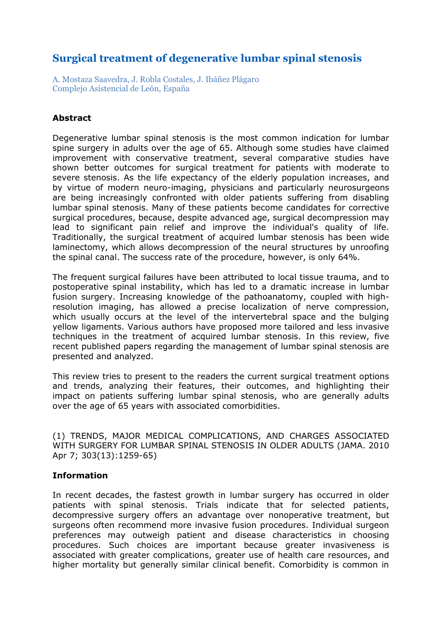# **Surgical treatment of degenerative lumbar spinal stenosis**

A. Mostaza Saavedra, J. Robla Costales, J. Ibáñez Plágaro Complejo Asistencial de León, España

### **Abstract**

Degenerative lumbar spinal stenosis is the most common indication for lumbar spine surgery in adults over the age of 65. Although some studies have claimed improvement with conservative treatment, several comparative studies have shown better outcomes for surgical treatment for patients with moderate to severe stenosis. As the life expectancy of the elderly population increases, and by virtue of modern neuro-imaging, physicians and particularly neurosurgeons are being increasingly confronted with older patients suffering from disabling lumbar spinal stenosis. Many of these patients become candidates for corrective surgical procedures, because, despite advanced age, surgical decompression may lead to significant pain relief and improve the individual's quality of life. Traditionally, the surgical treatment of acquired lumbar stenosis has been wide laminectomy, which allows decompression of the neural structures by unroofing the spinal canal. The success rate of the procedure, however, is only 64%.

The frequent surgical failures have been attributed to local tissue trauma, and to postoperative spinal instability, which has led to a dramatic increase in lumbar fusion surgery. Increasing knowledge of the pathoanatomy, coupled with highresolution imaging, has allowed a precise localization of nerve compression, which usually occurs at the level of the intervertebral space and the bulging yellow ligaments. Various authors have proposed more tailored and less invasive techniques in the treatment of acquired lumbar stenosis. In this review, five recent published papers regarding the management of lumbar spinal stenosis are presented and analyzed.

This review tries to present to the readers the current surgical treatment options and trends, analyzing their features, their outcomes, and highlighting their impact on patients suffering lumbar spinal stenosis, who are generally adults over the age of 65 years with associated comorbidities.

(1) TRENDS, MAJOR MEDICAL COMPLICATIONS, AND CHARGES ASSOCIATED WITH SURGERY FOR LUMBAR SPINAL STENOSIS IN OLDER ADULTS (JAMA. 2010 Apr 7; 303(13):1259-65)

### **Information**

In recent decades, the fastest growth in lumbar surgery has occurred in older patients with spinal stenosis. Trials indicate that for selected patients, decompressive surgery offers an advantage over nonoperative treatment, but surgeons often recommend more invasive fusion procedures. Individual surgeon preferences may outweigh patient and disease characteristics in choosing procedures. Such choices are important because greater invasiveness is associated with greater complications, greater use of health care resources, and higher mortality but generally similar clinical benefit. Comorbidity is common in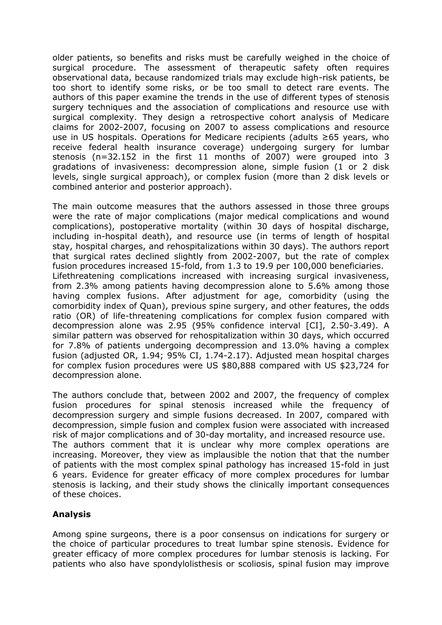older patients, so benefits and risks must be carefully weighed in the choice of surgical procedure. The assessment of therapeutic safety often requires observational data, because randomized trials may exclude high-risk patients, be too short to identify some risks, or be too small to detect rare events. The authors of this paper examine the trends in the use of different types of stenosis surgery techniques and the association of complications and resource use with surgical complexity. They design a retrospective cohort analysis of Medicare claims for 2002-2007, focusing on 2007 to assess complications and resource use in US hospitals. Operations for Medicare recipients (adults ≥65 years, who receive federal health insurance coverage) undergoing surgery for lumbar stenosis (n=32.152 in the first 11 months of 2007) were grouped into 3 gradations of invasiveness: decompression alone, simple fusion (1 or 2 disk levels, single surgical approach), or complex fusion (more than 2 disk levels or combined anterior and posterior approach).

The main outcome measures that the authors assessed in those three groups were the rate of major complications (major medical complications and wound complications), postoperative mortality (within 30 days of hospital discharge, including in-hospital death), and resource use (in terms of length of hospital stay, hospital charges, and rehospitalizations within 30 days). The authors report that surgical rates declined slightly from 2002-2007, but the rate of complex fusion procedures increased 15-fold, from 1.3 to 19.9 per 100,000 beneficiaries. Lifethreatening complications increased with increasing surgical invasiveness, from 2.3% among patients having decompression alone to 5.6% among those having complex fusions. After adjustment for age, comorbidity (using the comorbidity index of Quan), previous spine surgery, and other features, the odds ratio (OR) of life-threatening complications for complex fusion compared with decompression alone was 2.95 (95% confidence interval [CI], 2.50-3.49). A similar pattern was observed for rehospitalization within 30 days, which occurred for 7.8% of patients undergoing decompression and 13.0% having a complex fusion (adjusted OR, 1.94; 95% CI, 1.74-2.17). Adjusted mean hospital charges for complex fusion procedures were US \$80,888 compared with US \$23,724 for decompression alone.

The authors conclude that, between 2002 and 2007, the frequency of complex fusion procedures for spinal stenosis increased while the frequency of decompression surgery and simple fusions decreased. In 2007, compared with decompression, simple fusion and complex fusion were associated with increased risk of major complications and of 30-day mortality, and increased resource use. The authors comment that it is unclear why more complex operations are increasing. Moreover, they view as implausible the notion that that the number of patients with the most complex spinal pathology has increased 15-fold in just 6 years. Evidence for greater efficacy of more complex procedures for lumbar stenosis is lacking, and their study shows the clinically important consequences of these choices.

### **Analysis**

Among spine surgeons, there is a poor consensus on indications for surgery or the choice of particular procedures to treat lumbar spine stenosis. Evidence for greater efficacy of more complex procedures for lumbar stenosis is lacking. For patients who also have spondylolisthesis or scoliosis, spinal fusion may improve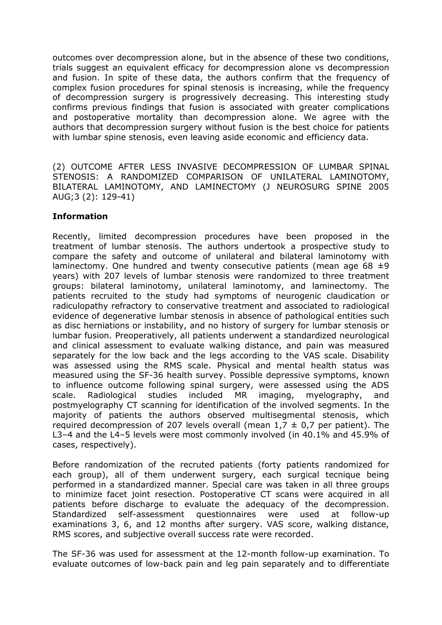outcomes over decompression alone, but in the absence of these two conditions, trials suggest an equivalent efficacy for decompression alone vs decompression and fusion. In spite of these data, the authors confirm that the frequency of complex fusion procedures for spinal stenosis is increasing, while the frequency of decompression surgery is progressively decreasing. This interesting study confirms previous findings that fusion is associated with greater complications and postoperative mortality than decompression alone. We agree with the authors that decompression surgery without fusion is the best choice for patients with lumbar spine stenosis, even leaving aside economic and efficiency data.

(2) OUTCOME AFTER LESS INVASIVE DECOMPRESSION OF LUMBAR SPINAL STENOSIS: A RANDOMIZED COMPARISON OF UNILATERAL LAMINOTOMY, BILATERAL LAMINOTOMY, AND LAMINECTOMY (J NEUROSURG SPINE 2005 AUG;3 (2): 129-41)

### **Information**

Recently, limited decompression procedures have been proposed in the treatment of lumbar stenosis. The authors undertook a prospective study to compare the safety and outcome of unilateral and bilateral laminotomy with laminectomy. One hundred and twenty consecutive patients (mean age  $68 \pm 9$ ) years) with 207 levels of lumbar stenosis were randomized to three treatment groups: bilateral laminotomy, unilateral laminotomy, and laminectomy. The patients recruited to the study had symptoms of neurogenic claudication or radiculopathy refractory to conservative treatment and associated to radiological evidence of degenerative lumbar stenosis in absence of pathological entities such as disc herniations or instability, and no history of surgery for lumbar stenosis or lumbar fusion. Preoperatively, all patients underwent a standardized neurological and clinical assessment to evaluate walking distance, and pain was measured separately for the low back and the legs according to the VAS scale. Disability was assessed using the RMS scale. Physical and mental health status was measured using the SF-36 health survey. Possible depressive symptoms, known to influence outcome following spinal surgery, were assessed using the ADS scale. Radiological studies included MR imaging, myelography, and postmyelography CT scanning for identification of the involved segments. In the majority of patients the authors observed multisegmental stenosis, which required decompression of 207 levels overall (mean  $1,7 \pm 0,7$  per patient). The L3–4 and the L4–5 levels were most commonly involved (in 40.1% and 45.9% of cases, respectively).

Before randomization of the recruted patients (forty patients randomized for each group), all of them underwent surgery, each surgical tecnique being performed in a standardized manner. Special care was taken in all three groups to minimize facet joint resection. Postoperative CT scans were acquired in all patients before discharge to evaluate the adequacy of the decompression. Standardized self-assessment questionnaires were used at follow-up examinations 3, 6, and 12 months after surgery. VAS score, walking distance, RMS scores, and subjective overall success rate were recorded.

The SF-36 was used for assessment at the 12-month follow-up examination. To evaluate outcomes of low-back pain and leg pain separately and to differentiate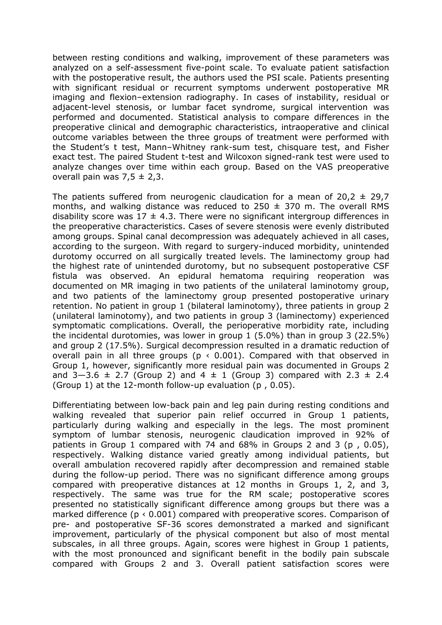between resting conditions and walking, improvement of these parameters was analyzed on a self-assessment five-point scale. To evaluate patient satisfaction with the postoperative result, the authors used the PSI scale. Patients presenting with significant residual or recurrent symptoms underwent postoperative MR imaging and flexion–extension radiography. In cases of instability, residual or adjacent-level stenosis, or lumbar facet syndrome, surgical intervention was performed and documented. Statistical analysis to compare differences in the preoperative clinical and demographic characteristics, intraoperative and clinical outcome variables between the three groups of treatment were performed with the Student's t test, Mann–Whitney rank-sum test, chisquare test, and Fisher exact test. The paired Student t-test and Wilcoxon signed-rank test were used to analyze changes over time within each group. Based on the VAS preoperative overall pain was  $7.5 \pm 2.3$ .

The patients suffered from neurogenic claudication for a mean of 20,2  $\pm$  29,7 months, and walking distance was reduced to  $250 \pm 370$  m. The overall RMS disability score was  $17 \pm 4.3$ . There were no significant intergroup differences in the preoperative characteristics. Cases of severe stenosis were evenly distributed among groups. Spinal canal decompression was adequately achieved in all cases, according to the surgeon. With regard to surgery-induced morbidity, unintended durotomy occurred on all surgically treated levels. The laminectomy group had the highest rate of unintended durotomy, but no subsequent postoperative CSF fistula was observed. An epidural hematoma requiring reoperation was documented on MR imaging in two patients of the unilateral laminotomy group, and two patients of the laminectomy group presented postoperative urinary retention. No patient in group 1 (bilateral laminotomy), three patients in group 2 (unilateral laminotomy), and two patients in group 3 (laminectomy) experienced symptomatic complications. Overall, the perioperative morbidity rate, including the incidental durotomies, was lower in group 1 (5.0%) than in group 3 (22.5%) and group 2 (17.5%). Surgical decompression resulted in a dramatic reduction of overall pain in all three groups ( $p \times 0.001$ ). Compared with that observed in Group 1, however, significantly more residual pain was documented in Groups 2 and  $3-3.6 \pm 2.7$  (Group 2) and  $4 \pm 1$  (Group 3) compared with 2.3  $\pm$  2.4 (Group 1) at the 12-month follow-up evaluation (p , 0.05).

Differentiating between low-back pain and leg pain during resting conditions and walking revealed that superior pain relief occurred in Group 1 patients, particularly during walking and especially in the legs. The most prominent symptom of lumbar stenosis, neurogenic claudication improved in 92% of patients in Group 1 compared with 74 and 68% in Groups 2 and 3 (p , 0.05), respectively. Walking distance varied greatly among individual patients, but overall ambulation recovered rapidly after decompression and remained stable during the follow-up period. There was no significant difference among groups compared with preoperative distances at 12 months in Groups 1, 2, and 3, respectively. The same was true for the RM scale; postoperative scores presented no statistically significant difference among groups but there was a marked difference ( $p \le 0.001$ ) compared with preoperative scores. Comparison of pre- and postoperative SF-36 scores demonstrated a marked and significant improvement, particularly of the physical component but also of most mental subscales, in all three groups. Again, scores were highest in Group 1 patients, with the most pronounced and significant benefit in the bodily pain subscale compared with Groups 2 and 3. Overall patient satisfaction scores were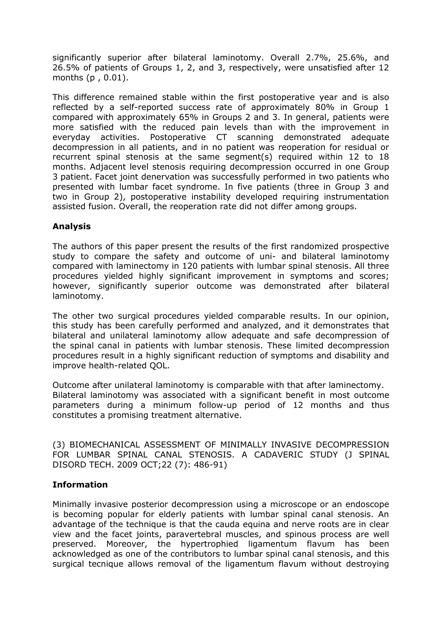significantly superior after bilateral laminotomy. Overall 2.7%, 25.6%, and 26.5% of patients of Groups 1, 2, and 3, respectively, were unsatisfied after 12 months (p , 0.01).

This difference remained stable within the first postoperative year and is also reflected by a self-reported success rate of approximately 80% in Group 1 compared with approximately 65% in Groups 2 and 3. In general, patients were more satisfied with the reduced pain levels than with the improvement in everyday activities. Postoperative CT scanning demonstrated adequate decompression in all patients, and in no patient was reoperation for residual or recurrent spinal stenosis at the same segment(s) required within 12 to 18 months. Adjacent level stenosis requiring decompression occurred in one Group 3 patient. Facet joint denervation was successfully performed in two patients who presented with lumbar facet syndrome. In five patients (three in Group 3 and two in Group 2), postoperative instability developed requiring instrumentation assisted fusion. Overall, the reoperation rate did not differ among groups.

### **Analysis**

The authors of this paper present the results of the first randomized prospective study to compare the safety and outcome of uni- and bilateral laminotomy compared with laminectomy in 120 patients with lumbar spinal stenosis. All three procedures yielded highly significant improvement in symptoms and scores; however, significantly superior outcome was demonstrated after bilateral laminotomy.

The other two surgical procedures yielded comparable results. In our opinion, this study has been carefully performed and analyzed, and it demonstrates that bilateral and unilateral laminotomy allow adequate and safe decompression of the spinal canal in patients with lumbar stenosis. These limited decompression procedures result in a highly significant reduction of symptoms and disability and improve health-related QOL.

Outcome after unilateral laminotomy is comparable with that after laminectomy. Bilateral laminotomy was associated with a significant benefit in most outcome parameters during a minimum follow-up period of 12 months and thus constitutes a promising treatment alternative.

(3) BIOMECHANICAL ASSESSMENT OF MINIMALLY INVASIVE DECOMPRESSION FOR LUMBAR SPINAL CANAL STENOSIS. A CADAVERIC STUDY (J SPINAL DISORD TECH. 2009 OCT;22 (7): 486-91)

### **Information**

Minimally invasive posterior decompression using a microscope or an endoscope is becoming popular for elderly patients with lumbar spinal canal stenosis. An advantage of the technique is that the cauda equina and nerve roots are in clear view and the facet joints, paravertebral muscles, and spinous process are well preserved. Moreover, the hypertrophied ligamentum flavum has been acknowledged as one of the contributors to lumbar spinal canal stenosis, and this surgical tecnique allows removal of the ligamentum flavum without destroying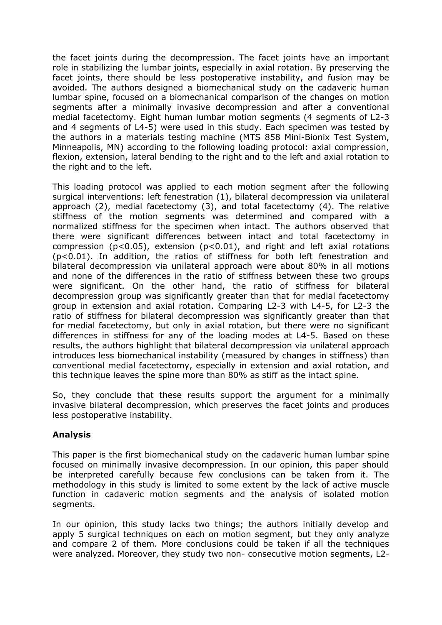the facet joints during the decompression. The facet joints have an important role in stabilizing the lumbar joints, especially in axial rotation. By preserving the facet joints, there should be less postoperative instability, and fusion may be avoided. The authors designed a biomechanical study on the cadaveric human lumbar spine, focused on a biomechanical comparison of the changes on motion segments after a minimally invasive decompression and after a conventional medial facetectomy. Eight human lumbar motion segments (4 segments of L2-3 and 4 segments of L4-5) were used in this study. Each specimen was tested by the authors in a materials testing machine (MTS 858 Mini-Bionix Test System, Minneapolis, MN) according to the following loading protocol: axial compression, flexion, extension, lateral bending to the right and to the left and axial rotation to the right and to the left.

This loading protocol was applied to each motion segment after the following surgical interventions: left fenestration (1), bilateral decompression via unilateral approach (2), medial facetectomy (3), and total facetectomy (4). The relative stiffness of the motion segments was determined and compared with a normalized stiffness for the specimen when intact. The authors observed that there were significant differences between intact and total facetectomy in compression ( $p < 0.05$ ), extension ( $p < 0.01$ ), and right and left axial rotations (p<0.01). In addition, the ratios of stiffness for both left fenestration and bilateral decompression via unilateral approach were about 80% in all motions and none of the differences in the ratio of stiffness between these two groups were significant. On the other hand, the ratio of stiffness for bilateral decompression group was significantly greater than that for medial facetectomy group in extension and axial rotation. Comparing L2-3 with L4-5, for L2-3 the ratio of stiffness for bilateral decompression was significantly greater than that for medial facetectomy, but only in axial rotation, but there were no significant differences in stiffness for any of the loading modes at L4-5. Based on these results, the authors highlight that bilateral decompression via unilateral approach introduces less biomechanical instability (measured by changes in stiffness) than conventional medial facetectomy, especially in extension and axial rotation, and this technique leaves the spine more than 80% as stiff as the intact spine.

So, they conclude that these results support the argument for a minimally invasive bilateral decompression, which preserves the facet joints and produces less postoperative instability.

## **Analysis**

This paper is the first biomechanical study on the cadaveric human lumbar spine focused on minimally invasive decompression. In our opinion, this paper should be interpreted carefully because few conclusions can be taken from it. The methodology in this study is limited to some extent by the lack of active muscle function in cadaveric motion segments and the analysis of isolated motion segments.

In our opinion, this study lacks two things; the authors initially develop and apply 5 surgical techniques on each on motion segment, but they only analyze and compare 2 of them. More conclusions could be taken if all the techniques were analyzed. Moreover, they study two non- consecutive motion segments, L2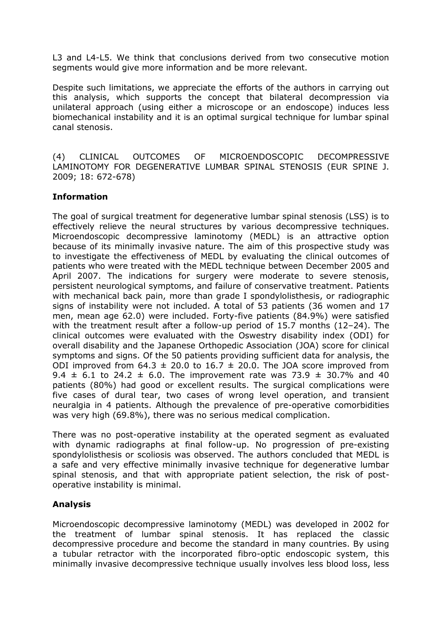L3 and L4-L5. We think that conclusions derived from two consecutive motion segments would give more information and be more relevant.

Despite such limitations, we appreciate the efforts of the authors in carrying out this analysis, which supports the concept that bilateral decompression via unilateral approach (using either a microscope or an endoscope) induces less biomechanical instability and it is an optimal surgical technique for lumbar spinal canal stenosis.

(4) CLINICAL OUTCOMES OF MICROENDOSCOPIC DECOMPRESSIVE LAMINOTOMY FOR DEGENERATIVE LUMBAR SPINAL STENOSIS (EUR SPINE J. 2009; 18: 672-678)

### **Information**

The goal of surgical treatment for degenerative lumbar spinal stenosis (LSS) is to effectively relieve the neural structures by various decompressive techniques. Microendoscopic decompressive laminotomy (MEDL) is an attractive option because of its minimally invasive nature. The aim of this prospective study was to investigate the effectiveness of MEDL by evaluating the clinical outcomes of patients who were treated with the MEDL technique between December 2005 and April 2007. The indications for surgery were moderate to severe stenosis, persistent neurological symptoms, and failure of conservative treatment. Patients with mechanical back pain, more than grade I spondylolisthesis, or radiographic signs of instability were not included. A total of 53 patients (36 women and 17 men, mean age 62.0) were included. Forty-five patients (84.9%) were satisfied with the treatment result after a follow-up period of 15.7 months (12–24). The clinical outcomes were evaluated with the Oswestry disability index (ODI) for overall disability and the Japanese Orthopedic Association (JOA) score for clinical symptoms and signs. Of the 50 patients providing sufficient data for analysis, the ODI improved from 64.3  $\pm$  20.0 to 16.7  $\pm$  20.0. The JOA score improved from 9.4  $\pm$  6.1 to 24.2  $\pm$  6.0. The improvement rate was 73.9  $\pm$  30.7% and 40 patients (80%) had good or excellent results. The surgical complications were five cases of dural tear, two cases of wrong level operation, and transient neuralgia in 4 patients. Although the prevalence of pre-operative comorbidities was very high (69.8%), there was no serious medical complication.

There was no post-operative instability at the operated segment as evaluated with dynamic radiographs at final follow-up. No progression of pre-existing spondylolisthesis or scoliosis was observed. The authors concluded that MEDL is a safe and very effective minimally invasive technique for degenerative lumbar spinal stenosis, and that with appropriate patient selection, the risk of postoperative instability is minimal.

## **Analysis**

Microendoscopic decompressive laminotomy (MEDL) was developed in 2002 for the treatment of lumbar spinal stenosis. It has replaced the classic decompressive procedure and become the standard in many countries. By using a tubular retractor with the incorporated fibro-optic endoscopic system, this minimally invasive decompressive technique usually involves less blood loss, less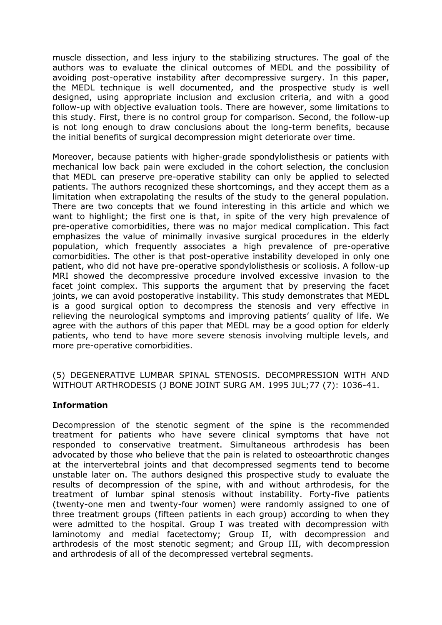muscle dissection, and less injury to the stabilizing structures. The goal of the authors was to evaluate the clinical outcomes of MEDL and the possibility of avoiding post-operative instability after decompressive surgery. In this paper, the MEDL technique is well documented, and the prospective study is well designed, using appropriate inclusion and exclusion criteria, and with a good follow-up with objective evaluation tools. There are however, some limitations to this study. First, there is no control group for comparison. Second, the follow-up is not long enough to draw conclusions about the long-term benefits, because the initial benefits of surgical decompression might deteriorate over time.

Moreover, because patients with higher-grade spondylolisthesis or patients with mechanical low back pain were excluded in the cohort selection, the conclusion that MEDL can preserve pre-operative stability can only be applied to selected patients. The authors recognized these shortcomings, and they accept them as a limitation when extrapolating the results of the study to the general population. There are two concepts that we found interesting in this article and which we want to highlight; the first one is that, in spite of the very high prevalence of pre-operative comorbidities, there was no major medical complication. This fact emphasizes the value of minimally invasive surgical procedures in the elderly population, which frequently associates a high prevalence of pre-operative comorbidities. The other is that post-operative instability developed in only one patient, who did not have pre-operative spondylolisthesis or scoliosis. A follow-up MRI showed the decompressive procedure involved excessive invasion to the facet joint complex. This supports the argument that by preserving the facet joints, we can avoid postoperative instability. This study demonstrates that MEDL is a good surgical option to decompress the stenosis and very effective in relieving the neurological symptoms and improving patients' quality of life. We agree with the authors of this paper that MEDL may be a good option for elderly patients, who tend to have more severe stenosis involving multiple levels, and more pre-operative comorbidities.

(5) DEGENERATIVE LUMBAR SPINAL STENOSIS. DECOMPRESSION WITH AND WITHOUT ARTHRODESIS (J BONE JOINT SURG AM. 1995 JUL;77 (7): 1036-41.

### **Information**

Decompression of the stenotic segment of the spine is the recommended treatment for patients who have severe clinical symptoms that have not responded to conservative treatment. Simultaneous arthrodesis has been advocated by those who believe that the pain is related to osteoarthrotic changes at the intervertebral joints and that decompressed segments tend to become unstable later on. The authors designed this prospective study to evaluate the results of decompression of the spine, with and without arthrodesis, for the treatment of lumbar spinal stenosis without instability. Forty-five patients (twenty-one men and twenty-four women) were randomly assigned to one of three treatment groups (fifteen patients in each group) according to when they were admitted to the hospital. Group I was treated with decompression with laminotomy and medial facetectomy; Group II, with decompression and arthrodesis of the most stenotic segment; and Group III, with decompression and arthrodesis of all of the decompressed vertebral segments.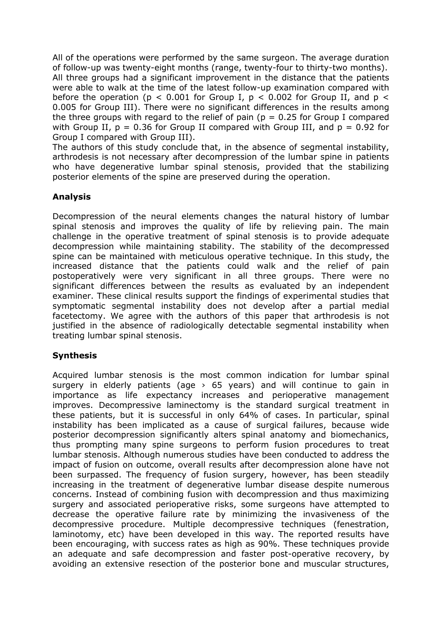All of the operations were performed by the same surgeon. The average duration of follow-up was twenty-eight months (range, twenty-four to thirty-two months). All three groups had a significant improvement in the distance that the patients were able to walk at the time of the latest follow-up examination compared with before the operation ( $p < 0.001$  for Group I,  $p < 0.002$  for Group II, and  $p <$ 0.005 for Group III). There were no significant differences in the results among the three groups with regard to the relief of pain ( $p = 0.25$  for Group I compared with Group II,  $p = 0.36$  for Group II compared with Group III, and  $p = 0.92$  for Group I compared with Group III).

The authors of this study conclude that, in the absence of segmental instability, arthrodesis is not necessary after decompression of the lumbar spine in patients who have degenerative lumbar spinal stenosis, provided that the stabilizing posterior elements of the spine are preserved during the operation.

## **Analysis**

Decompression of the neural elements changes the natural history of lumbar spinal stenosis and improves the quality of life by relieving pain. The main challenge in the operative treatment of spinal stenosis is to provide adequate decompression while maintaining stability. The stability of the decompressed spine can be maintained with meticulous operative technique. In this study, the increased distance that the patients could walk and the relief of pain postoperatively were very significant in all three groups. There were no significant differences between the results as evaluated by an independent examiner. These clinical results support the findings of experimental studies that symptomatic segmental instability does not develop after a partial medial facetectomy. We agree with the authors of this paper that arthrodesis is not justified in the absence of radiologically detectable segmental instability when treating lumbar spinal stenosis.

## **Synthesis**

Acquired lumbar stenosis is the most common indication for lumbar spinal surgery in elderly patients (age  $> 65$  years) and will continue to gain in importance as life expectancy increases and perioperative management improves. Decompressive laminectomy is the standard surgical treatment in these patients, but it is successful in only 64% of cases. In particular, spinal instability has been implicated as a cause of surgical failures, because wide posterior decompression significantly alters spinal anatomy and biomechanics, thus prompting many spine surgeons to perform fusion procedures to treat lumbar stenosis. Although numerous studies have been conducted to address the impact of fusion on outcome, overall results after decompression alone have not been surpassed. The frequency of fusion surgery, however, has been steadily increasing in the treatment of degenerative lumbar disease despite numerous concerns. Instead of combining fusion with decompression and thus maximizing surgery and associated perioperative risks, some surgeons have attempted to decrease the operative failure rate by minimizing the invasiveness of the decompressive procedure. Multiple decompressive techniques (fenestration, laminotomy, etc) have been developed in this way. The reported results have been encouraging, with success rates as high as 90%. These techniques provide an adequate and safe decompression and faster post-operative recovery, by avoiding an extensive resection of the posterior bone and muscular structures,